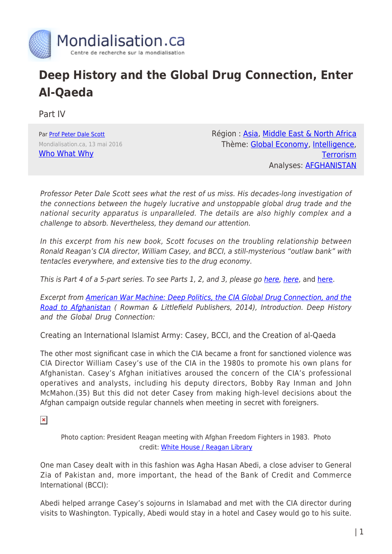

## **Deep History and the Global Drug Connection, Enter Al-Qaeda**

Part IV

Par [Prof Peter Dale Scott](https://www.mondialisation.ca/author/peter-dale-scott) Mondialisation.ca, 13 mai 2016 [Who What Why](http://whowhatwhy.org/2016/05/12/deep-history-global-drug-connection-part-4-enter-al-qaeda/)

Région : [Asia](https://www.mondialisation.ca/region/asia), [Middle East & North Africa](https://www.mondialisation.ca/region/middle-east) Thème: [Global Economy](https://www.mondialisation.ca/theme/global-economy), [Intelligence](https://www.mondialisation.ca/theme/intelligence), **[Terrorism](https://www.mondialisation.ca/theme/9-11-war-on-terrorism)** Analyses: [AFGHANISTAN](https://www.mondialisation.ca/indepthreport/afghanistan)

Professor Peter Dale Scott sees what the rest of us miss. His decades-long investigation of the connections between the hugely lucrative and unstoppable global drug trade and the national security apparatus is unparalleled. The details are also highly complex and a challenge to absorb. Nevertheless, they demand our attention.

In this excerpt from his new book, Scott focuses on the troubling relationship between Ronald Reagan's CIA director, William Casey, and BCCI, a still-mysterious "outlaw bank" with tentacles everywhere, and extensive ties to the drug economy.

This is Part 4 of a 5-part series. To see Parts 1, 2, and 3, please go [here](http://whowhatwhy.org/2016/04/12/deep-history-global-drug-connection-part-3-deadly-bureaucracy/), [here](http://whowhatwhy.org/2016/04/07/deep-history-global-drug-connection-part-2-murder-streets-washington/), and here.

Excerpt from [American War Machine: Deep Politics, the CIA Global Drug Connection, and the](http://www.amazon.com/American-War-Machine-Connection-Afghanistan/dp/074255595X) [Road to Afghanistan](http://www.amazon.com/American-War-Machine-Connection-Afghanistan/dp/074255595X) ( Rowman & Littlefield Publishers, 2014), Introduction. Deep History and the Global Drug Connection:

Creating an International Islamist Army: Casey, BCCI, and the Creation of al-Qaeda

The other most significant case in which the CIA became a front for sanctioned violence was CIA Director William Casey's use of the CIA in the 1980s to promote his own plans for Afghanistan. Casey's Afghan initiatives aroused the concern of the CIA's professional operatives and analysts, including his deputy directors, Bobby Ray Inman and John McMahon.(35) But this did not deter Casey from making high-level decisions about the Afghan campaign outside regular channels when meeting in secret with foreigners.

 $\pmb{\times}$ 

Photo caption: President Reagan meeting with Afghan Freedom Fighters in 1983. Photo credit: [White House / Reagan Library](https://reaganlibrary.archives.gov/archives/photographs/large/c12820-32.jpg)

One man Casey dealt with in this fashion was Agha Hasan Abedi, a close adviser to General Zia of Pakistan and, more important, the head of the Bank of Credit and Commerce International (BCCI):

Abedi helped arrange Casey's sojourns in Islamabad and met with the CIA director during visits to Washington. Typically, Abedi would stay in a hotel and Casey would go to his suite.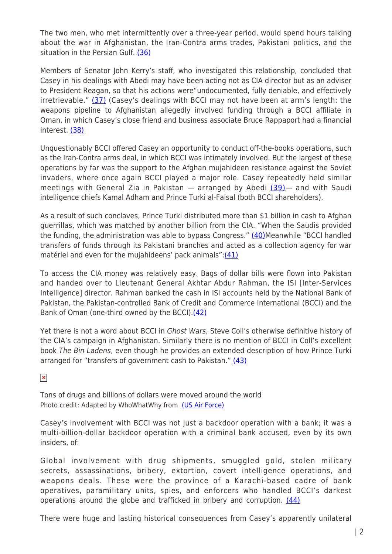The two men, who met intermittently over a three-year period, would spend hours talking about the war in Afghanistan, the Iran-Contra arms trades, Pakistani politics, and the situation in the Persian Gulf. [\(36\)](http://whowhatwhy.org/2016/05/12/deep-history-global-drug-connection-part-4-enter-al-qaeda/#36)

Members of Senator John Kerry's staff, who investigated this relationship, concluded that Casey in his dealings with Abedi may have been acting not as CIA director but as an adviser to President Reagan, so that his actions were"undocumented, fully deniable, and effectively irretrievable." [\(37\)](http://whowhatwhy.org/2016/05/12/deep-history-global-drug-connection-part-4-enter-al-qaeda/#37) (Casey's dealings with BCCI may not have been at arm's length: the weapons pipeline to Afghanistan allegedly involved funding through a BCCI affiliate in Oman, in which Casey's close friend and business associate Bruce Rappaport had a financial interest. [\(38\)](http://whowhatwhy.org/2016/05/12/deep-history-global-drug-connection-part-4-enter-al-qaeda/#38)

Unquestionably BCCI offered Casey an opportunity to conduct off-the-books operations, such as the Iran-Contra arms deal, in which BCCI was intimately involved. But the largest of these operations by far was the support to the Afghan mujahideen resistance against the Soviet invaders, where once again BCCI played a major role. Casey repeatedly held similar meetings with General Zia in Pakistan  $-$  arranged by Abedi  $(39)$  and with Saudi intelligence chiefs Kamal Adham and Prince Turki al-Faisal (both BCCI shareholders).

As a result of such conclaves, Prince Turki distributed more than \$1 billion in cash to Afghan guerrillas, which was matched by another billion from the CIA. "When the Saudis provided the funding, the administration was able to bypass Congress." [\(40\)M](http://whowhatwhy.org/2016/05/12/deep-history-global-drug-connection-part-4-enter-al-qaeda/#40)eanwhile "BCCI handled transfers of funds through its Pakistani branches and acted as a collection agency for war matériel and even for the mujahideens' pack animals": $(41)$ 

To access the CIA money was relatively easy. Bags of dollar bills were flown into Pakistan and handed over to Lieutenant General Akhtar Abdur Rahman, the ISI [Inter-Services Intelligence] director. Rahman banked the cash in ISI accounts held by the National Bank of Pakistan, the Pakistan-controlled Bank of Credit and Commerce International (BCCI) and the Bank of Oman (one-third owned by the BCCI)[.\(42\)](http://whowhatwhy.org/2016/05/12/deep-history-global-drug-connection-part-4-enter-al-qaeda/#42)

Yet there is not a word about BCCI in Ghost Wars, Steve Coll's otherwise definitive history of the CIA's campaign in Afghanistan. Similarly there is no mention of BCCI in Coll's excellent book The Bin Ladens, even though he provides an extended description of how Prince Turki arranged for "transfers of government cash to Pakistan." [\(43\)](http://whowhatwhy.org/2016/05/12/deep-history-global-drug-connection-part-4-enter-al-qaeda/#43)

 $\pmb{\times}$ 

Tons of drugs and billions of dollars were moved around the world Photo credit: Adapted by WhoWhatWhy from [\(US Air Force\)](http://www.af.mil/AboutUs/FactSheets/Display/tabid/224/Article/104492/c-5-abc-galaxy-c-5m-super-galaxy.aspx)

Casey's involvement with BCCI was not just a backdoor operation with a bank; it was a multi-billion-dollar backdoor operation with a criminal bank accused, even by its own insiders, of:

Global involvement with drug shipments, smuggled gold, stolen military secrets, assassinations, bribery, extortion, covert intelligence operations, and weapons deals. These were the province of a Karachi-based cadre of bank operatives, paramilitary units, spies, and enforcers who handled BCCI's darkest operations around the globe and trafficked in bribery and corruption. [\(44\)](http://whowhatwhy.org/2016/05/12/deep-history-global-drug-connection-part-4-enter-al-qaeda/#44)

There were huge and lasting historical consequences from Casey's apparently unilateral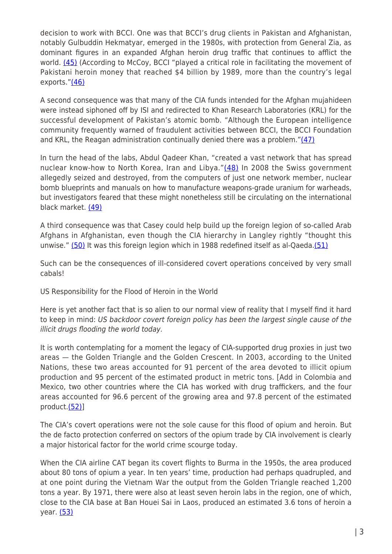decision to work with BCCI. One was that BCCI's drug clients in Pakistan and Afghanistan, notably Gulbuddin Hekmatyar, emerged in the 1980s, with protection from General Zia, as dominant figures in an expanded Afghan heroin drug traffic that continues to afflict the world. [\(45\)](http://whowhatwhy.org/2016/05/12/deep-history-global-drug-connection-part-4-enter-al-qaeda/#45) (According to McCoy, BCCI "played a critical role in facilitating the movement of Pakistani heroin money that reached \$4 billion by 1989, more than the country's legal exports. $''(46)$  $''(46)$ 

A second consequence was that many of the CIA funds intended for the Afghan mujahideen were instead siphoned off by ISI and redirected to Khan Research Laboratories (KRL) for the successful development of Pakistan's atomic bomb. "Although the European intelligence community frequently warned of fraudulent activities between BCCI, the BCCI Foundation and KRL, the Reagan administration continually denied there was a problem." $(47)$ 

In turn the head of the labs, Abdul Qadeer Khan, "created a vast network that has spread nuclear know-how to North Korea, Iran and Libya."[\(48\)](http://whowhatwhy.org/2016/05/12/deep-history-global-drug-connection-part-4-enter-al-qaeda/#48) In 2008 the Swiss government allegedly seized and destroyed, from the computers of just one network member, nuclear bomb blueprints and manuals on how to manufacture weapons-grade uranium for warheads, but investigators feared that these might nonetheless still be circulating on the international black market. [\(49\)](http://whowhatwhy.org/2016/05/12/deep-history-global-drug-connection-part-4-enter-al-qaeda/#49)

A third consequence was that Casey could help build up the foreign legion of so-called Arab Afghans in Afghanistan, even though the CIA hierarchy in Langley rightly "thought this unwise." [\(50\)](http://whowhatwhy.org/2016/05/12/deep-history-global-drug-connection-part-4-enter-al-qaeda/#50) It was this foreign legion which in 1988 redefined itself as al-Qaeda.[\(51\)](http://whowhatwhy.org/2016/05/12/deep-history-global-drug-connection-part-4-enter-al-qaeda/#51)

Such can be the consequences of ill-considered covert operations conceived by very small cabals!

US Responsibility for the Flood of Heroin in the World

Here is yet another fact that is so alien to our normal view of reality that I myself find it hard to keep in mind: US backdoor covert foreign policy has been the largest single cause of the illicit drugs flooding the world today.

It is worth contemplating for a moment the legacy of CIA-supported drug proxies in just two areas — the Golden Triangle and the Golden Crescent. In 2003, according to the United Nations, these two areas accounted for 91 percent of the area devoted to illicit opium production and 95 percent of the estimated product in metric tons. [Add in Colombia and Mexico, two other countries where the CIA has worked with drug traffickers, and the four areas accounted for 96.6 percent of the growing area and 97.8 percent of the estimated product.[\(52\)](http://whowhatwhy.org/2016/05/12/deep-history-global-drug-connection-part-4-enter-al-qaeda/#52)]

The CIA's covert operations were not the sole cause for this flood of opium and heroin. But the de facto protection conferred on sectors of the opium trade by CIA involvement is clearly a major historical factor for the world crime scourge today.

When the CIA airline CAT began its covert flights to Burma in the 1950s, the area produced about 80 tons of opium a year. In ten years' time, production had perhaps quadrupled, and at one point during the Vietnam War the output from the Golden Triangle reached 1,200 tons a year. By 1971, there were also at least seven heroin labs in the region, one of which, close to the CIA base at Ban Houei Sai in Laos, produced an estimated 3.6 tons of heroin a year. [\(53\)](http://whowhatwhy.org/2016/05/12/deep-history-global-drug-connection-part-4-enter-al-qaeda/#53)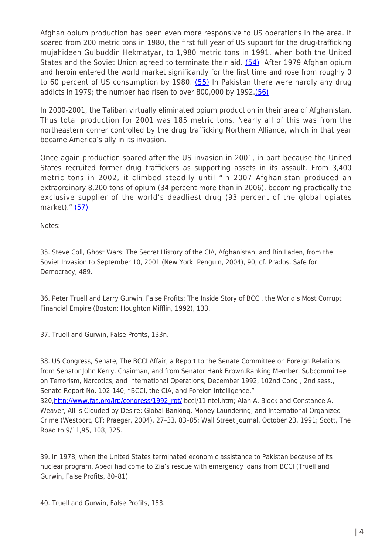Afghan opium production has been even more responsive to US operations in the area. It soared from 200 metric tons in 1980, the first full year of US support for the drug-trafficking mujahideen Gulbuddin Hekmatyar, to 1,980 metric tons in 1991, when both the United States and the Soviet Union agreed to terminate their aid. [\(54\)](http://whowhatwhy.org/2016/05/12/deep-history-global-drug-connection-part-4-enter-al-qaeda/#54) After 1979 Afghan opium and heroin entered the world market significantly for the first time and rose from roughly 0 to 60 percent of US consumption by 1980.  $(55)$  In Pakistan there were hardly any drug addicts in 1979; the number had risen to over 800,000 by 1992.[\(56\)](http://whowhatwhy.org/2016/05/12/deep-history-global-drug-connection-part-4-enter-al-qaeda/#56)

In 2000-2001, the Taliban virtually eliminated opium production in their area of Afghanistan. Thus total production for 2001 was 185 metric tons. Nearly all of this was from the northeastern corner controlled by the drug trafficking Northern Alliance, which in that year became America's ally in its invasion.

Once again production soared after the US invasion in 2001, in part because the United States recruited former drug traffickers as supporting assets in its assault. From 3,400 metric tons in 2002, it climbed steadily until "in 2007 Afghanistan produced an extraordinary 8,200 tons of opium (34 percent more than in 2006), becoming practically the exclusive supplier of the world's deadliest drug (93 percent of the global opiates market)." [\(57\)](http://whowhatwhy.org/2016/05/12/deep-history-global-drug-connection-part-4-enter-al-qaeda/#57)

Notes:

35. Steve Coll, Ghost Wars: The Secret History of the CIA, Afghanistan, and Bin Laden, from the Soviet Invasion to September 10, 2001 (New York: Penguin, 2004), 90; cf. Prados, Safe for Democracy, 489.

36. Peter Truell and Larry Gurwin, False Profits: The Inside Story of BCCI, the World's Most Corrupt Financial Empire (Boston: Houghton Mifflin, 1992), 133.

37. Truell and Gurwin, False Profits, 133n.

38. US Congress, Senate, The BCCI Affair, a Report to the Senate Committee on Foreign Relations from Senator John Kerry, Chairman, and from Senator Hank Brown,Ranking Member, Subcommittee on Terrorism, Narcotics, and International Operations, December 1992, 102nd Cong., 2nd sess., Senate Report No. 102-140, "BCCI, the CIA, and Foreign Intelligence," 320,[http://www.fas.org/irp/congress/1992\\_rpt/](http://www.fas.org/irp/congress/1992_rpt/) bcci/11intel.htm; Alan A. Block and Constance A. Weaver, All Is Clouded by Desire: Global Banking, Money Laundering, and International Organized Crime (Westport, CT: Praeger, 2004), 27–33, 83–85; Wall Street Journal, October 23, 1991; Scott, The Road to 9/11,95, 108, 325.

39. In 1978, when the United States terminated economic assistance to Pakistan because of its nuclear program, Abedi had come to Zia's rescue with emergency loans from BCCI (Truell and Gurwin, False Profits, 80–81).

40. Truell and Gurwin, False Profits, 153.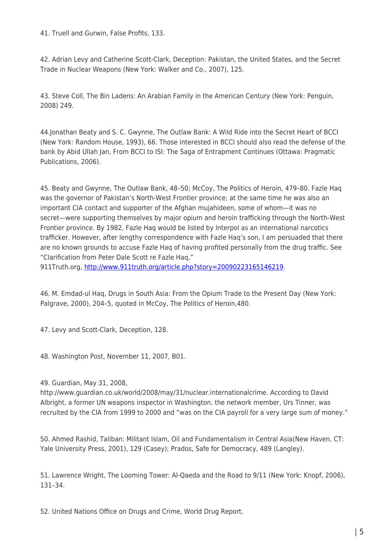41. Truell and Gurwin, False Profits, 133.

42. Adrian Levy and Catherine Scott-Clark, Deception: Pakistan, the United States, and the Secret Trade in Nuclear Weapons (New York: Walker and Co., 2007), 125.

43. Steve Coll, The Bin Ladens: An Arabian Family in the American Century (New York: Penguin, 2008) 249.

44.Jonathan Beaty and S. C. Gwynne, The Outlaw Bank: A Wild Ride into the Secret Heart of BCCI (New York: Random House, 1993), 66. Those interested in BCCI should also read the defense of the bank by Abid Ullah Jan, From BCCI to ISI: The Saga of Entrapment Continues (Ottawa: Pragmatic Publications, 2006).

45. Beaty and Gwynne, The Outlaw Bank, 48–50; McCoy, The Politics of Heroin, 479–80. Fazle Haq was the governor of Pakistan's North-West Frontier province; at the same time he was also an important CIA contact and supporter of the Afghan mujahideen, some of whom—it was no secret—were supporting themselves by major opium and heroin trafficking through the North-West Frontier province. By 1982, Fazle Haq would be listed by Interpol as an international narcotics trafficker. However, after lengthy correspondence with Fazle Haq's son, I am persuaded that there are no known grounds to accuse Fazle Haq of having profited personally from the drug traffic. See "Clarification from Peter Dale Scott re Fazle Haq,"

911Truth.org, [http://www.911truth.org/article.php?story=20090223165146219.](http://www.911truth.org/article.php?story=20090223165146219)

46. M. Emdad-ul Haq, Drugs in South Asia: From the Opium Trade to the Present Day (New York: Palgrave, 2000), 204–5, quoted in McCoy, The Politics of Heroin,480.

47. Levy and Scott-Clark, Deception, 128.

48. Washington Post, November 11, 2007, B01.

49. Guardian, May 31, 2008,

http://www.guardian.co.uk/world/2008/may/31/nuclear.internationalcrime. According to David Albright, a former UN weapons inspector in Washington, the network member, Urs Tinner, was recruited by the CIA from 1999 to 2000 and "was on the CIA payroll for a very large sum of money."

50. Ahmed Rashid, Taliban: Militant Islam, Oil and Fundamentalism in Central Asia(New Haven, CT: Yale University Press, 2001), 129 (Casey); Prados, Safe for Democracy, 489 (Langley).

51. Lawrence Wright, The Looming Tower: Al-Qaeda and the Road to 9/11 (New York: Knopf, 2006), 131–34.

52. United Nations Office on Drugs and Crime, World Drug Report,